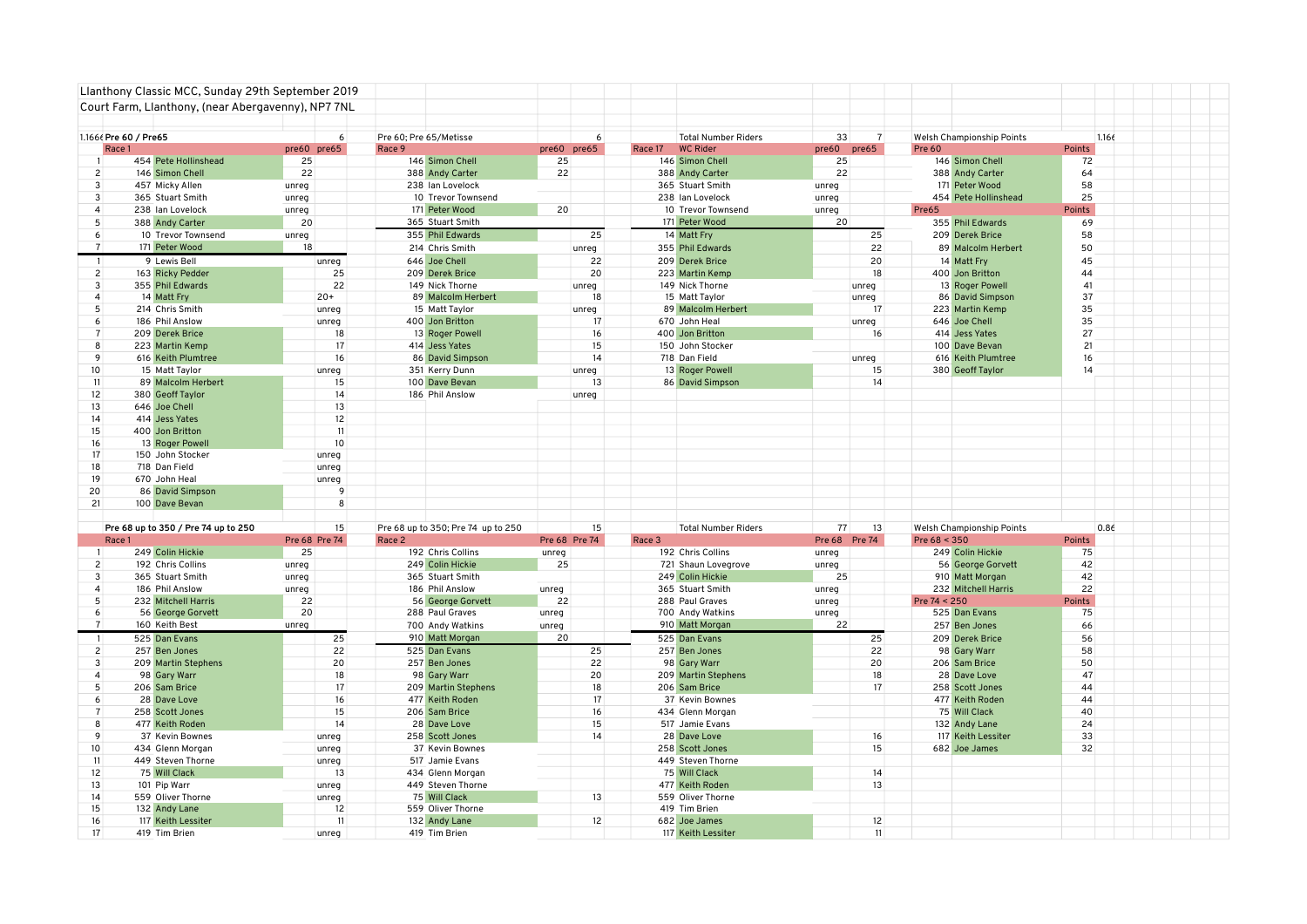|                                | Llanthony Classic MCC, Sunday 29th September 2019  |       |               |        |                                    |       |                  |         |                                    |                   |                |               |                                   |              |       |  |
|--------------------------------|----------------------------------------------------|-------|---------------|--------|------------------------------------|-------|------------------|---------|------------------------------------|-------------------|----------------|---------------|-----------------------------------|--------------|-------|--|
|                                | Court Farm, Llanthony, (near Abergavenny), NP7 7NL |       |               |        |                                    |       |                  |         |                                    |                   |                |               |                                   |              |       |  |
|                                |                                                    |       |               |        |                                    |       |                  |         |                                    |                   |                |               |                                   |              |       |  |
|                                | 1.1666 Pre 60 / Pre65                              |       | 6             |        | Pre 60; Pre 65/Metisse             |       | $6 \overline{6}$ |         | <b>Total Number Riders</b>         | 33                | $\overline{7}$ |               | <b>Welsh Championship Points</b>  |              | 1.166 |  |
| Race 1                         | 454 Pete Hollinshead                               | 25    | pre60 pre65   | Race 9 | 146 Simon Chell                    | 25    | pre60 pre65      | Race 17 | <b>WC Rider</b><br>146 Simon Chell | pre60 pre65<br>25 |                | <b>Pre 60</b> | 146 Simon Chell                   | Points<br>72 |       |  |
|                                |                                                    |       |               |        |                                    |       |                  |         |                                    |                   |                |               |                                   | 64           |       |  |
| $\overline{2}$                 | 146 Simon Chell                                    | 22    |               |        | 388 Andy Carter                    | 22    |                  |         | 388 Andy Carter                    | 22                |                |               | 388 Andy Carter<br>171 Peter Wood | 58           |       |  |
| $\mathbf{3}$                   | 457 Micky Allen                                    | unreg |               |        | 238 Ian Lovelock                   |       |                  |         | 365 Stuart Smith                   | unreg             |                |               |                                   | 25           |       |  |
| $\mathbf{3}$<br>$\overline{4}$ | 365 Stuart Smith                                   | unreg |               |        | 10 Trevor Townsend                 | 20    |                  |         | 238 Ian Lovelock                   | unreg             |                |               | 454 Pete Hollinshead              |              |       |  |
|                                | 238 Ian Lovelock                                   | unreg |               |        | 171 Peter Wood                     |       |                  |         | 10 Trevor Townsend                 | unreg             |                | Pre65         |                                   | Points       |       |  |
| 5                              | 388 Andy Carter                                    | 20    |               |        | 365 Stuart Smith                   |       |                  |         | 171 Peter Wood                     | 20                |                |               | 355 Phil Edwards                  | 69           |       |  |
| 6                              | 10 Trevor Townsend                                 | unreg |               |        | 355 Phil Edwards                   |       | 25               |         | 14 Matt Fry                        |                   | 25             |               | 209 Derek Brice                   | 58           |       |  |
| $\overline{7}$                 | 171 Peter Wood                                     | 18    |               |        | 214 Chris Smith                    |       | unreg            |         | 355 Phil Edwards                   |                   | 22             |               | 89 Malcolm Herbert                | 50           |       |  |
|                                | 9 Lewis Bell                                       |       | unreg         |        | 646 Joe Chell                      |       | 22               |         | 209 Derek Brice                    |                   | 20             |               | 14 Matt Fry                       | 45           |       |  |
| $2^{\circ}$                    | 163 Ricky Pedder                                   |       | 25            |        | 209 Derek Brice                    |       | 20               |         | 223 Martin Kemp                    |                   | 18             |               | 400 Jon Britton                   | 44           |       |  |
| 3                              | 355 Phil Edwards                                   |       | 22            |        | 149 Nick Thorne                    |       | unreg            |         | 149 Nick Thorne                    |                   | unreg          |               | 13 Roger Powell                   | 41           |       |  |
| $\boldsymbol{\Lambda}$         | 14 Matt Fry                                        |       | $20+$         |        | 89 Malcolm Herbert                 |       | 18               |         | 15 Matt Taylor                     |                   | unreg          |               | 86 David Simpson                  | 37           |       |  |
| 5                              | 214 Chris Smith                                    |       | unreg         |        | 15 Matt Taylor                     |       | unreg            |         | 89 Malcolm Herbert                 |                   | 17             |               | 223 Martin Kemp                   | 35           |       |  |
| 6                              | 186 Phil Anslow                                    |       | unreg         |        | 400 Jon Britton                    |       | 17               |         | 670 John Heal                      |                   | unreg          |               | 646 Joe Chell                     | 35           |       |  |
| $\overline{7}$                 | 209 Derek Brice                                    |       | 18            |        | 13 Roger Powell                    |       | 16               |         | 400 Jon Britton                    |                   | 16             |               | 414 Jess Yates                    | 27           |       |  |
| 8                              | 223 Martin Kemp                                    |       | 17            |        | 414 Jess Yates                     |       | 15               |         | 150 John Stocker                   |                   |                |               | 100 Dave Bevan                    | 21           |       |  |
| $\mathbf{q}$                   | 616 Keith Plumtree                                 |       | 16            |        | 86 David Simpson                   |       | 14               |         | 718 Dan Field                      |                   | unreg          |               | 616 Keith Plumtree                | 16           |       |  |
| 10 <sup>10</sup>               | 15 Matt Taylor                                     |       | unreg         |        | 351 Kerry Dunn                     |       | unreg            |         | 13 Roger Powell                    |                   | 15             |               | 380 Geoff Taylor                  | 14           |       |  |
| 11                             | 89 Malcolm Herbert                                 |       | 15            |        | 100 Dave Bevan                     |       | 13               |         | 86 David Simpson                   |                   | 14             |               |                                   |              |       |  |
| 12                             | 380 Geoff Taylor                                   |       | 14            |        | 186 Phil Anslow                    |       | unreg            |         |                                    |                   |                |               |                                   |              |       |  |
| 13                             | 646 Joe Chell                                      |       | 13            |        |                                    |       |                  |         |                                    |                   |                |               |                                   |              |       |  |
| 14                             | 414 Jess Yates                                     |       | 12            |        |                                    |       |                  |         |                                    |                   |                |               |                                   |              |       |  |
| 15                             | 400 Jon Britton                                    |       | 11            |        |                                    |       |                  |         |                                    |                   |                |               |                                   |              |       |  |
| 16                             | 13 Roger Powell                                    |       | 10            |        |                                    |       |                  |         |                                    |                   |                |               |                                   |              |       |  |
| 17                             | 150 John Stocker                                   |       | unreg         |        |                                    |       |                  |         |                                    |                   |                |               |                                   |              |       |  |
| 18                             | 718 Dan Field                                      |       | unreg         |        |                                    |       |                  |         |                                    |                   |                |               |                                   |              |       |  |
| 19                             | 670 John Heal                                      |       | unreg         |        |                                    |       |                  |         |                                    |                   |                |               |                                   |              |       |  |
| 20                             | 86 David Simpson                                   |       | 9             |        |                                    |       |                  |         |                                    |                   |                |               |                                   |              |       |  |
| 21                             | 100 Dave Bevan                                     |       | 8             |        |                                    |       |                  |         |                                    |                   |                |               |                                   |              |       |  |
|                                |                                                    |       |               |        |                                    |       |                  |         |                                    |                   |                |               |                                   |              |       |  |
|                                | Pre 68 up to 350 / Pre 74 up to 250                |       | 15            |        | Pre 68 up to 350; Pre 74 up to 250 |       | 15               |         | <b>Total Number Riders</b>         | 77                | 13             |               | Welsh Championship Points         |              | 0.86  |  |
| Race 1                         |                                                    |       | Pre 68 Pre 74 | Race 2 |                                    |       | Pre 68 Pre 74    | Race 3  |                                    |                   | Pre 68 Pre 74  | Pre 68 < 350  |                                   | Points       |       |  |
| $\mathbf{1}$                   | 249 Colin Hickie                                   | 25    |               |        | 192 Chris Collins                  | unreg |                  |         | 192 Chris Collins                  | unreg             |                |               | 249 Colin Hickie                  | 75           |       |  |
| $\overline{2}$                 | 192 Chris Collins                                  | unreg |               |        | 249 Colin Hickie                   | 25    |                  |         | 721 Shaun Lovegrove                | unreg             |                |               | 56 George Gorvett                 | 42           |       |  |
| $\mathbf{3}$                   | 365 Stuart Smith                                   | unreg |               |        | 365 Stuart Smith                   |       |                  |         | 249 Colin Hickie                   | 25                |                |               | 910 Matt Morgan                   | 42           |       |  |
| $\overline{4}$                 | 186 Phil Anslow                                    | unreg |               |        | 186 Phil Anslow                    | unreg |                  |         | 365 Stuart Smith                   | unreg             |                |               | 232 Mitchell Harris               | 22           |       |  |
| 5                              | 232 Mitchell Harris                                | 22    |               |        | 56 George Gorvett                  | 22    |                  |         | 288 Paul Graves                    | unreg             |                | Pre 74 < 250  |                                   | Points       |       |  |
| 6                              | 56 George Gorvett                                  | 20    |               |        | 288 Paul Graves                    |       |                  |         | 700 Andy Watkins                   | unreg             |                |               | 525 Dan Evans                     | 75           |       |  |
| $\overline{7}$                 | 160 Keith Best                                     | unreg |               |        | 700 Andy Watkins                   | unreg |                  |         | 910 Matt Morgan                    | 22                |                |               | 257 Ben Jones                     | 66           |       |  |
|                                |                                                    |       |               |        |                                    | unreg |                  |         |                                    |                   | 25             |               |                                   |              |       |  |
|                                | 525 Dan Evans                                      |       | 25            |        | 910 Matt Morgan                    | 20    |                  |         | 525 Dan Evans                      |                   |                |               | 209 Derek Brice                   | 56           |       |  |
| $\overline{2}$                 | 257 Ben Jones                                      |       | 22            |        | 525 Dan Evans                      |       | 25               |         | 257 Ben Jones                      |                   | 22             |               | 98 Gary Warr                      | 58           |       |  |
| $\overline{3}$                 | 209 Martin Stephens                                |       | 20            |        | 257 Ben Jones                      |       | 22               |         | 98 Gary Warr                       |                   | 20             |               | 206 Sam Brice                     | 50           |       |  |
| $\boldsymbol{\Delta}$          | 98 Gary Warr                                       |       | 18            |        | 98 Gary Warr                       |       | 20               |         | 209 Martin Stephens                |                   | 18             |               | 28 Dave Love                      | 47           |       |  |
| 5                              | 206 Sam Brice                                      |       | 17            |        | 209 Martin Stephens                |       | 18               |         | 206 Sam Brice                      |                   | 17             |               | 258 Scott Jones                   | 44           |       |  |
| 6                              | 28 Dave Love                                       |       | 16            |        | 477 Keith Roden                    |       | 17               |         | 37 Kevin Bownes                    |                   |                |               | 477 Keith Roden                   | 44           |       |  |
|                                | 258 Scott Jones                                    |       | 15            |        | 206 Sam Brice                      |       | 16               |         | 434 Glenn Morgan                   |                   |                |               | 75 Will Clack                     | 40           |       |  |
| 8                              | 477 Keith Roden                                    |       | 14            |        | 28 Dave Love                       |       | 15               |         | 517 Jamie Evans                    |                   |                |               | 132 Andy Lane                     | 24           |       |  |
| 9                              | 37 Kevin Bownes                                    |       | unreg         |        | 258 Scott Jones                    |       | 14               |         | 28 Dave Love                       |                   | 16             |               | 117 Keith Lessiter                | 33           |       |  |
| 10 <sup>1</sup>                | 434 Glenn Morgan                                   |       | unreg         |        | 37 Kevin Bownes                    |       |                  |         | 258 Scott Jones                    |                   | 15             |               | 682 Joe James                     | 32           |       |  |
| 11                             | 449 Steven Thorne                                  |       | unreg         |        | 517 Jamie Evans                    |       |                  |         | 449 Steven Thorne                  |                   |                |               |                                   |              |       |  |
| 12                             | 75 Will Clack                                      |       | 13            |        | 434 Glenn Morgan                   |       |                  |         | 75 Will Clack                      |                   | 14             |               |                                   |              |       |  |
| 13                             | 101 Pip Warr                                       |       | unreg         |        | 449 Steven Thorne                  |       |                  |         | 477 Keith Roden                    |                   | 13             |               |                                   |              |       |  |
| 14                             | 559 Oliver Thorne                                  |       | unreg         |        | 75 Will Clack                      |       | 13               |         | 559 Oliver Thorne                  |                   |                |               |                                   |              |       |  |
| 15                             | 132 Andy Lane                                      |       | 12            |        | 559 Oliver Thorne                  |       |                  |         | 419 Tim Brien                      |                   |                |               |                                   |              |       |  |
| 16                             | 117 Keith Lessiter                                 |       | 11            |        | 132 Andy Lane                      |       | 12               |         | 682 Joe James                      |                   | 12             |               |                                   |              |       |  |
| 17                             | 419 Tim Brien                                      |       | unreg         |        | 419 Tim Brien                      |       |                  |         | 117 Keith Lessiter                 |                   | 11             |               |                                   |              |       |  |
|                                |                                                    |       |               |        |                                    |       |                  |         |                                    |                   |                |               |                                   |              |       |  |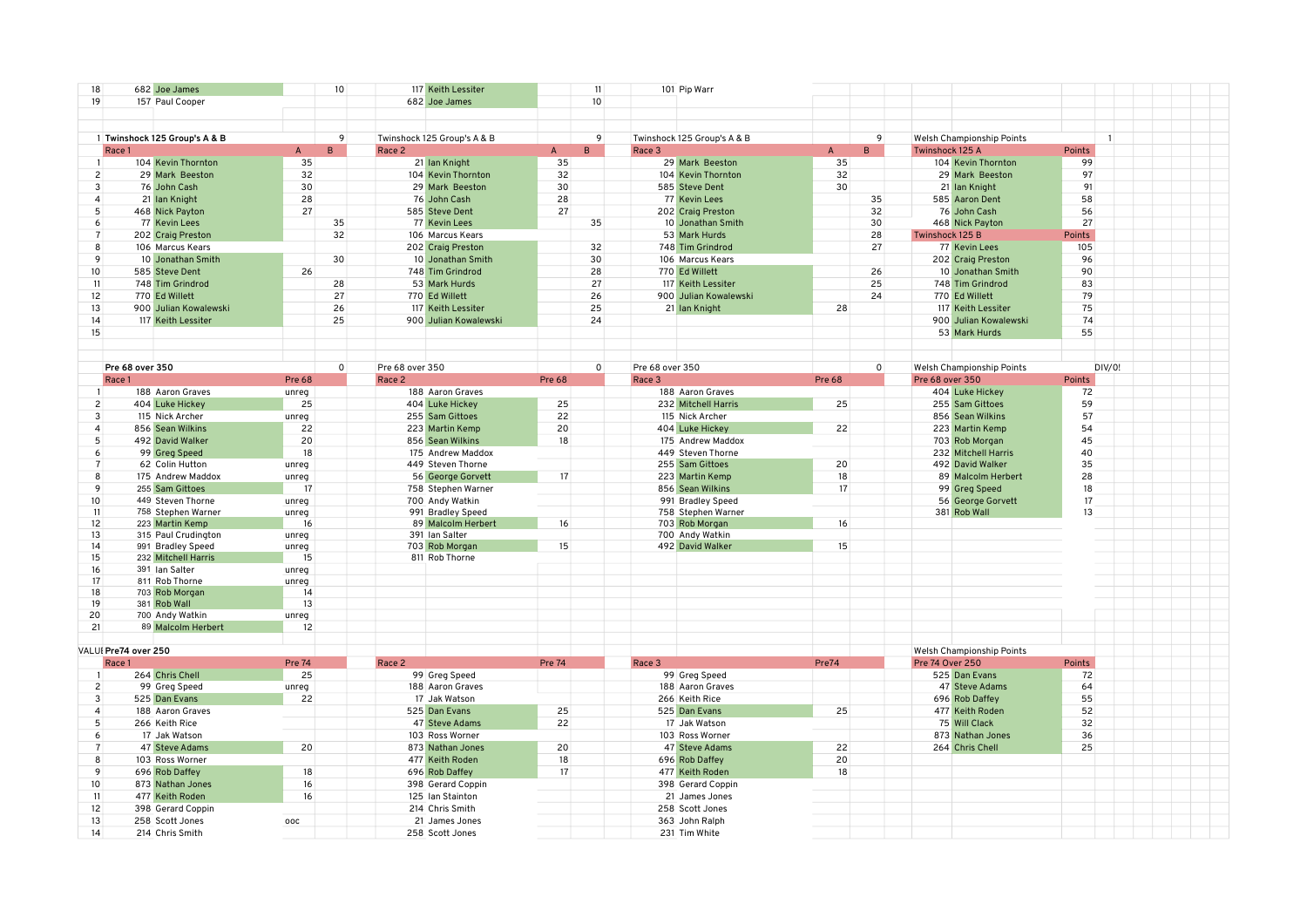| 18                    |                      | 682 Joe James                            |                 | 10 <sup>10</sup> |                 | 117 Keith Lessiter                   |               | 11               |                 | 101 Pip Warr                        |                    |                                  |                |  |
|-----------------------|----------------------|------------------------------------------|-----------------|------------------|-----------------|--------------------------------------|---------------|------------------|-----------------|-------------------------------------|--------------------|----------------------------------|----------------|--|
| 19                    |                      | 157 Paul Cooper                          |                 |                  |                 | 682 Joe James                        |               | 10 <sup>10</sup> |                 |                                     |                    |                                  |                |  |
|                       |                      |                                          |                 |                  |                 |                                      |               |                  |                 |                                     |                    |                                  |                |  |
|                       |                      |                                          |                 |                  |                 |                                      |               |                  |                 |                                     |                    |                                  |                |  |
|                       |                      | 1 Twinshock 125 Group's A & B            |                 | 9                |                 | Twinshock 125 Group's A & B          |               | 9                |                 | Twinshock 125 Group's A & B         | 9                  | <b>Welsh Championship Points</b> | $\overline{1}$ |  |
|                       | Race 1               |                                          | $\mathsf{A}$    | R.               | Race 2          |                                      | $\mathsf{A}$  | B.               | Race 3          |                                     | $\mathsf{A}$<br>B. | Twinshock 125 A                  | Points         |  |
|                       |                      | 104 Kevin Thornton                       | 35              |                  |                 | 21 Ian Knight                        | 35            |                  |                 | 29 Mark Beeston                     | 35                 | 104 Kevin Thornton               | 99             |  |
| $\overline{c}$        |                      | 29 Mark Beeston                          | 32              |                  |                 | 104 Kevin Thornton                   | 32            |                  |                 | 104 Kevin Thornton                  | 32                 | 29 Mark Beeston                  | 97             |  |
| 3                     |                      | 76 John Cash                             | 30 <sup>°</sup> |                  |                 | 29 Mark Beeston                      | 30            |                  |                 | 585 Steve Dent                      | 30                 | 21 Ian Knight                    | 91             |  |
| 4                     |                      | 21 Ian Knight                            | 28              |                  |                 | 76 John Cash                         | 28            |                  |                 | 77 Kevin Lees                       | 35                 | 585 Aaron Dent                   | 58             |  |
| 5                     |                      | 468 Nick Payton                          | 27              |                  |                 | 585 Steve Dent                       | 27            |                  |                 | 202 Craig Preston                   | 32                 | 76 John Cash                     | 56             |  |
| 6                     |                      | 77 Kevin Lees                            |                 | 35               |                 | 77 Kevin Lees                        |               | 35               |                 | 10 Jonathan Smith                   | 30 <sup>°</sup>    | 468 Nick Payton                  | 27             |  |
| $\overline{7}$        |                      | 202 Craig Preston                        |                 | 32               |                 | 106 Marcus Kears                     |               |                  |                 | 53 Mark Hurds                       | 28                 | Twinshock 125 B                  | Points         |  |
| 8                     |                      | 106 Marcus Kears                         |                 |                  |                 | 202 Craig Preston                    |               | 32               |                 | 748 Tim Grindrod                    | 27                 | 77 Kevin Lees                    | 105            |  |
| 9                     |                      | 10 Jonathan Smith                        |                 |                  |                 | 10 Jonathan Smith                    |               | 30 <sup>°</sup>  |                 | 106 Marcus Kears                    |                    |                                  | 96             |  |
|                       |                      |                                          |                 | 30               |                 |                                      |               |                  |                 |                                     |                    | 202 Craig Preston                |                |  |
| 10 <sup>10</sup>      |                      | 585 Steve Dent                           | 26              |                  |                 | 748 Tim Grindrod                     |               | 28               |                 | 770 Ed Willett                      | 26                 | 10 Jonathan Smith                | 90             |  |
| 11                    |                      | 748 Tim Grindrod                         |                 | 28               |                 | 53 Mark Hurds                        |               | 27               |                 | 117 Keith Lessiter                  | 25                 | 748 Tim Grindrod                 | 83             |  |
| 12                    |                      | 770 Ed Willett                           |                 | 27               |                 | 770 Ed Willett                       |               | 26               |                 | 900 Julian Kowalewski               | 24                 | 770 Ed Willett                   | 79             |  |
| 13                    |                      | 900 Julian Kowalewski                    |                 | 26               |                 | 117 Keith Lessiter                   |               | 25               |                 | 21 Ian Knight                       | 28                 | 117 Keith Lessiter               | 75             |  |
| 14                    |                      | 117 Keith Lessiter                       |                 | 25               |                 | 900 Julian Kowalewski                |               | 24               |                 |                                     |                    | 900 Julian Kowalewski            | 74             |  |
| 15                    |                      |                                          |                 |                  |                 |                                      |               |                  |                 |                                     |                    | 53 Mark Hurds                    | 55             |  |
|                       |                      |                                          |                 |                  |                 |                                      |               |                  |                 |                                     |                    |                                  |                |  |
|                       |                      |                                          |                 |                  |                 |                                      |               |                  |                 |                                     |                    |                                  |                |  |
|                       | Pre 68 over 350      |                                          |                 | $\mathbf{0}$     | Pre 68 over 350 |                                      |               | $\mathbf{0}$     | Pre 68 over 350 |                                     | $\mathbf{0}$       | Welsh Championship Points        | DIV/0!         |  |
|                       | Race 1               |                                          | <b>Pre 68</b>   |                  | Race 2          |                                      | <b>Pre 68</b> |                  | Race 3          |                                     | <b>Pre 68</b>      | Pre 68 over 350                  | Points         |  |
|                       |                      | 188 Aaron Graves                         | unreg           |                  |                 | 188 Aaron Graves                     |               |                  |                 | 188 Aaron Graves                    |                    | 404 Luke Hickey                  | 72             |  |
| $\overline{c}$        |                      | 404 Luke Hickey                          | 25              |                  |                 | 404 Luke Hickey                      | 25            |                  |                 | 232 Mitchell Harris                 | 25                 | 255 Sam Gittoes                  | 59             |  |
| 3                     |                      | 115 Nick Archer                          | unreg           |                  |                 | 255 Sam Gittoes                      | 22            |                  |                 | 115 Nick Archer                     |                    | 856 Sean Wilkins                 | 57             |  |
| 4                     |                      | 856 Sean Wilkins                         | 22              |                  |                 | 223 Martin Kemp                      | 20            |                  |                 | 404 Luke Hickey                     | 22                 | 223 Martin Kemp                  | 54             |  |
| 5                     |                      | 492 David Walker                         | 20              |                  |                 | 856 Sean Wilkins                     | 18            |                  |                 | 175 Andrew Maddox                   |                    | 703 Rob Morgan                   | 45             |  |
| 6                     |                      | 99 Greg Speed                            | 18              |                  |                 | 175 Andrew Maddox                    |               |                  |                 | 449 Steven Thorne                   |                    | 232 Mitchell Harris              | 40             |  |
| $\overline{7}$        |                      | 62 Colin Hutton                          | unreg           |                  |                 | 449 Steven Thorne                    |               |                  |                 | 255 Sam Gittoes                     | 20                 | 492 David Walker                 | 35             |  |
|                       |                      |                                          |                 |                  |                 | 56 George Gorvett                    |               |                  |                 | 223 Martin Kemp                     | 18                 |                                  | 28             |  |
|                       |                      |                                          |                 |                  |                 |                                      |               |                  |                 |                                     |                    |                                  |                |  |
| 8                     |                      | 175 Andrew Maddox                        | unreg           |                  |                 |                                      | 17            |                  |                 |                                     |                    | 89 Malcolm Herbert               |                |  |
| 9                     |                      | 255 Sam Gittoes                          | 17              |                  |                 | 758 Stephen Warner                   |               |                  |                 | 856 Sean Wilkins                    | 17                 | 99 Greg Speed                    | 18             |  |
| 10 <sup>1</sup><br>11 |                      | 449 Steven Thorne                        | unreg           |                  |                 | 700 Andy Watkin                      |               |                  |                 | 991 Bradley Speed                   |                    | 56 George Gorvett                | 17<br>13       |  |
|                       |                      | 758 Stephen Warner                       | unreg           |                  |                 | 991 Bradley Speed                    |               |                  |                 | 758 Stephen Warner                  |                    | 381 Rob Wall                     |                |  |
| 12                    |                      | 223 Martin Kemp                          | 16              |                  |                 | 89 Malcolm Herbert<br>391 Ian Salter | 16            |                  |                 | 703 Rob Morgan                      | 16                 |                                  |                |  |
| 13<br>14              |                      | 315 Paul Crudington<br>991 Bradley Speed | unreg<br>unreg  |                  |                 | 703 Rob Morgan                       | 15            |                  |                 | 700 Andy Watkin<br>492 David Walker | 15                 |                                  |                |  |
| 15                    |                      | 232 Mitchell Harris                      | 15              |                  |                 | 811 Rob Thorne                       |               |                  |                 |                                     |                    |                                  |                |  |
| 16                    |                      | 391 Ian Salter                           | unreg           |                  |                 |                                      |               |                  |                 |                                     |                    |                                  |                |  |
| 17                    |                      | 811 Rob Thorne                           |                 |                  |                 |                                      |               |                  |                 |                                     |                    |                                  |                |  |
| 18                    |                      | 703 Rob Morgan                           | unreg<br>14     |                  |                 |                                      |               |                  |                 |                                     |                    |                                  |                |  |
| 19                    |                      | 381 Rob Wall                             | 13              |                  |                 |                                      |               |                  |                 |                                     |                    |                                  |                |  |
| 20                    |                      | 700 Andy Watkin                          | unreg           |                  |                 |                                      |               |                  |                 |                                     |                    |                                  |                |  |
| 21                    |                      | 89 Malcolm Herbert                       | 12              |                  |                 |                                      |               |                  |                 |                                     |                    |                                  |                |  |
|                       |                      |                                          |                 |                  |                 |                                      |               |                  |                 |                                     |                    |                                  |                |  |
|                       | VALUI Pre74 over 250 |                                          |                 |                  |                 |                                      |               |                  |                 |                                     |                    | <b>Welsh Championship Points</b> |                |  |
|                       | Race 1               |                                          | Pre 74          |                  | Race 2          |                                      | <b>Pre 74</b> |                  | Race 3          |                                     | Pre74              | Pre 74 Over 250                  | Points         |  |
|                       |                      | 264 Chris Chell                          | 25              |                  |                 | 99 Greg Speed                        |               |                  |                 | 99 Greg Speed                       |                    | 525 Dan Evans                    | 72             |  |
| $\overline{c}$        |                      | 99 Greg Speed                            | unreg           |                  |                 | 188 Aaron Graves                     |               |                  |                 | 188 Aaron Graves                    |                    | 47 Steve Adams                   | 64             |  |
| 3                     |                      | 525 Dan Evans                            | 22              |                  |                 | 17 Jak Watson                        |               |                  |                 | 266 Keith Rice                      |                    | 696 Rob Daffey                   | 55             |  |
| 4                     |                      | 188 Aaron Graves                         |                 |                  |                 | 525 Dan Evans                        | 25            |                  |                 | 525 Dan Evans                       | 25                 | 477 Keith Roden                  | 52             |  |
| 5                     |                      | 266 Keith Rice                           |                 |                  |                 | 47 Steve Adams                       | 22            |                  |                 | 17 Jak Watson                       |                    | 75 Will Clack                    | 32             |  |
| 6                     |                      | 17 Jak Watson                            |                 |                  |                 | 103 Ross Worner                      |               |                  |                 | 103 Ross Worner                     |                    | 873 Nathan Jones                 | 36             |  |
| $\overline{7}$        |                      |                                          | 20              |                  |                 | 873 Nathan Jones                     | 20            |                  |                 | 47 Steve Adams                      | 22                 |                                  | 25             |  |
| 8                     |                      | 47 Steve Adams                           |                 |                  |                 |                                      |               |                  |                 |                                     |                    | 264 Chris Chell                  |                |  |
|                       |                      | 103 Ross Worner                          |                 |                  |                 | 477 Keith Roden                      | 18            |                  |                 | 696 Rob Daffey                      | 20                 |                                  |                |  |
| 9                     |                      | 696 Rob Daffey                           | 18              |                  |                 | 696 Rob Daffey                       | 17            |                  |                 | 477 Keith Roden                     | 18                 |                                  |                |  |
| 10 <sup>1</sup>       |                      | 873 Nathan Jones                         | 16              |                  |                 | 398 Gerard Coppin                    |               |                  |                 | 398 Gerard Coppin                   |                    |                                  |                |  |
| 11                    |                      | 477 Keith Roden                          | 16              |                  |                 | 125 Ian Stainton                     |               |                  |                 | 21 James Jones                      |                    |                                  |                |  |
| 12                    |                      | 398 Gerard Coppin                        |                 |                  |                 | 214 Chris Smith                      |               |                  |                 | 258 Scott Jones                     |                    |                                  |                |  |
| 13<br>14              |                      | 258 Scott Jones<br>214 Chris Smith       | <b>OOC</b>      |                  |                 | 21 James Jones<br>258 Scott Jones    |               |                  |                 | 363 John Ralph<br>231 Tim White     |                    |                                  |                |  |